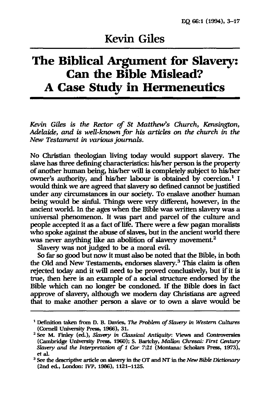# **The Biblical Argument for Slavery: Can the Bible Mislead? A Case Study in Hermeneutics**

*Kevin Giles is the* Rector of *St Matthew's Church, Kensington, Adelaide,* and *is well-known for his articles on the church in the New Testament* in *various journals.* 

No Christian theologian living today would support slavery. The slave has three defining characteristics: his/her person is the property of another human being, his/her will is completely subject to his/her owner's authority, and his/her labour is obtained by coercion.<sup>1</sup> I would think we are agreed that slavery so defined cannot be justified under any circumstances in our society. To enslave another human being would be sinful. Things were very different, however, in the ancient world. In the ages when the Bible was written slavery was a universal phenomenon. It was part and parcel of the culture and people accepted it as a fact of life. There were a few pagan moralists who spoke against the abuse of slaves, but in the ancient world there was never anything like an abolition of slavery movement.<sup>2</sup>

Slavery was not judged to be a moral evil.

So far so good but now it must also be noted that the Bible, in both the Old and New Testaments, endorses slavery.3 This claim is often rejected today and it will need to be proved conclusively, but if it is true, then here is an example of a social structure endorsed by the Bible which can no longer be condoned. If the Bible does in fact approve of slavery, although we modern day Christians are agreed that to make another person a slave or to own a slave would be

<sup>1</sup> Definition taken from D. B. Davies, *The Problem of Slavery* in *Western Cultures*  (Cornell University Press, 1966), 31.

<sup>&</sup>lt;sup>2</sup> See M. Finley (ed.), *Slavery in Classical Antiquity*: Views and Controversies (Cambridge University Press, 1960); S. Bartchy, *Mallon Chresai: First Century Slavery and the Interpretation* of 1 Cor 7:21 (Montana: Scholars Press, 1973), et al.

<sup>3</sup> See the descriptive article on slavery in the OT and Nr in the *New Bible* Dictionary (2nd ed., London: IVP, 1986), 1121-1125.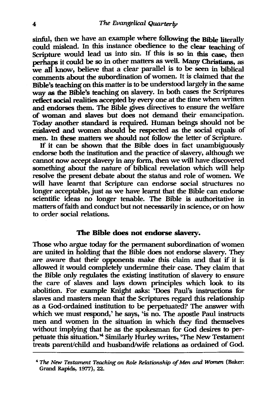sinful, then we have an example where following the Bible literally could mislead. In this instance obedience to the clear teaching of Scripture would lead us into sin. If this is so in this case, then perhaps it could be so in other matters as well. Many Christians, as we all know, believe that a clear parallel is to be seen in biblical comments about the subordination of women. It is claimed that the Bible's teaching on this matter is to be understood largely in the same way as the Bible's teaching on slavery. In both cases the Scriptures reflect social realities accepted by every one at the time when written and endorses them. The Bible gives directives to ensure the welfare of woman and slaves but does not demand their emancipation. Today another standard is required. Human beings should not be enslaved and women should be respected as the social equals of men. In these matters we should not follow the letter of Scripture.

If it can be shown that the Bible does in fact unambiguously endorse both the institution and the practice of slavery, although we cannot now accept slavery in any form, then we will have discovered something about the nature of biblical revelation which will help resolve the present debate about the status and role of women. We will have learnt that Scripture can endorse social structures no longer acceptable, just as we have learnt that the Bible can endorse scientific ideas no longer tenable. The Bible is authoritative in matters of faith and conduct but not necessarily in science, or on how to order social relations.

#### The Bible does not endorse slavery.

Those who argue today for the permanent subordination of women are united in holding that the Bible does not endorse slavery. They are aware that their opponents make this claim and that if it is allowed it would completely undermine their case. They claim that the Bible only regulates the existing institution of slavery to ensure the care of slaves and lays down principles which look to its abolition. For example Knight asks: 'Does Paul's instructions for slaves and masters mean that the Scriptures regard this relationship as a God-ordained institution to be perpetuated? The answer with which we must respond,' he says, 'is no. The apostle Paul instructs men and women in the situation in which they find themselves without implying that he as the spokesman for God desires to perpetuate this situation.<sup>24</sup> Similarly Hurley writes, 'The New Testament treats parent/child and husband/wife relations as ordained of God.

<sup>4</sup>*The New Testament Teaching on Role Relationship of Men and Women* (Baker: Grand Rapids, 1977), 22.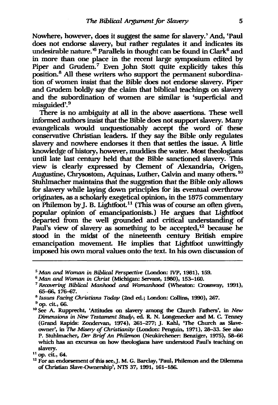Nowhere, however, does it suggest the same for slavery.' And, 'Paul does not endorse slavery, but rather regulates it and indicates its undesirable nature.<sup> $5$ </sup> Parallels in thought can be found in Clark<sup>6</sup> and in more than one place in the recent large symposium edited by Piper and Grudem.<sup>7</sup> Even John Stott quite explicitly takes this position.<sup>8</sup> All these writers who support the permanent subordination of women insist that the Bible does not endorse slavery. Piper and Grudem boldly say the claim that biblical teachings on slavery and the subordination of women are similar is 'superficial and misguided'.<sup>9</sup>

There is no ambiguity at all in the above assertions. These well informed authors insist that the Bible does not support slavery. Many evangelicals would unquestionably accept the word of these conservative Christian leaders. If they say the Bible only regulates slavery and nowhere endorses it then that settles the issue. A little knowledge of history, however, muddies the water. Most theologians until late last century held that the Bible sanctioned slavery. This view is clearly expressed by Clement of Alexandria, Origen, Augustine, Chrysostom, Aquinas, Luther, Calvin and many others. 10 Stuhlmacher maintains that the suggestion that the Bible only allows for slavery while laying down principles for its eventual overthrow originates, as a scholarly exegetical opinion, in the 1875 commentary on Philemon by J. B. Lightfoot. 11 (This was of course an often given, popular opinion of emancipationists.) He argues that Lightfoot departed from the well grounded and critical understanding of Paul's view of slavery as something to be accepted, $12$  because he stood in the midst of the nineteenth century British empire emancipation movement. He implies that Lightfoot unwittingly imposed his own moral values onto the text. In his own discussion of

*<sup>5</sup> Man* and *Woman* in *Biblical Perspective* (London: IVP, 1981), 159.

<sup>&</sup>lt;sup>6</sup> Man and *Woman in Christ* (Michigan: Servant, 1980), 153-160.

*<sup>7</sup> Recovering Biblical Manhood* and *Womanhood* (Wheaton: Crossway, 1991), 65-66, 176-67.

<sup>8</sup>*Issues Facing Christians Today* (2nd ed.; London: Collins, 1990),267.

<sup>9</sup> op. cit, 66.

<sup>&</sup>lt;sup>10</sup> See A. Rupprecht, 'Attitudes on slavery among the Church Fathers', in *New* Dimensions in *New Testament Study*, ed. R. N. Longenecker and M. C. Tenney (Grand Rapids: Zondervan, 1974), 261-277;]. Kahl, 'The Church as Slaveowner', in *The Misery* of *Christianity* (London: Penguin, 1971), 28-33. See also P. Stuhlmacher, Der Brief An Philemon (Neukirchener: Benziger, 1975), 58-66 which has an excursus on how theologians have understood Paul's teaching on slavery.

 $11$  op. cit., 64.

 $12$  For an endorsement of this see, J. M. G. Barclay, 'Paul, Philemon and the Dilemma of Christian SIave-Ownershlp', NTS 37, 1991, 161-186.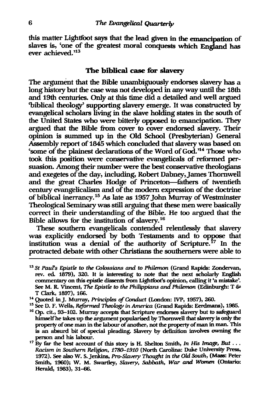this matter Lightfoot says that the lead given in the emancipation of slaves is, 'one of the greatest moral conquests which England has ever achieved.<sup>313</sup>

#### The biblical case for slavery

The argument that the Bible unambiguously endorses slavery has a long history but the case was not developed in any way until the 18th and 19th centuries. Only at this time did a detailed and well argued 'biblical theology' supporting slavery emerge. It was constructed by evangelical scholars living in the slave holding states in the south of the United States who were bitterly opposed to emancipation. They argued that the Bible from cover to cover endorsed slavery. Their opinion is summed up in the Old School (Presbyterian) General Assembly report of 1845 which concluded that slavery was based on 'some of the plainest declarations of the Word of God.<sup>114</sup> Those who took this position were conservative evangelicals of reformed persuasion. Among their number were the best conservative theologians and exegetes of the day, including, Robert Dabney,James Thornwell and the great Charles Hodge of Princeton-fathers of twentieth century evangelicalism and of the modem expression of the doctrine of biblical inerrancy.15 As late as 1957 John Murray of Westminster Theological Seminary was still arguing that these men were basically correct in their understanding of the Bible. He too argued that the Bible allows for the institution of slavery. 16

These southern evangelicals contended relentlessly that slavery was explicitly endorsed by both Testaments and to oppose that institution was a denial of the authority of Scripture.<sup>17</sup> In the protracted debate with other Christians the southerners were able to

<sup>13</sup> st *paurs Epistle to the Colossians and to Philemon* (Grand Rapids: Zondervan, rev. ed. 1879), 320. It is interesting to note that the next scholarly English commentary on this epistle dissents from Lightfoot's opinion, calling it 'a mistake'. See M. R. Vmcent, *The Epistle to the Philippians and Philemon* (Edinburgh: T 61' T CIark, 1897), 166.

<sup>14</sup> Quoted in J. Murray, *Principles* of *Conduct* (London: IVP, 1957), 260.

<sup>15</sup> See D. F. Wells, *Reformed Theology* in *America* (Grand Rapids: Eerdmans), 1985.

<sup>&</sup>lt;sup>16</sup> Op. cit., 93-102. Murray accepts that Scripture endorses slavery but to safeguard himself he takes up the argument popularised by Thornwell that slavery is only the property of one man in the labour of another, not the property of man in man. This is an absurd bit of special pleading. Slavery by definition involves owning the person and his labour.

<sup>&</sup>lt;sup>17</sup> By far the best account of this story is H. Shelton Smith, *In His Image*, *But* . . . Racism in Southern Religion, 1780-1910 (North Carolina: Duke University Press, 1972). See also w. S. Jenkins, *Pro-Slavery Thought* in *the Old South,* (Mass: Peter Smith, 1960); W. M. Swartley, *Slavery*, *Sabbath, War and Women* (Ontario: Herald, 1983), 31-66.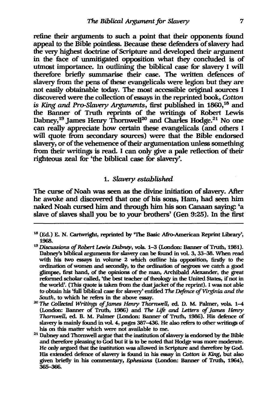refine their arguments to such a point that their opponents found appeal to the Bible pointless. Because these defenders of slavery had the very highest doctrine of Scripture and developed their argument in the face of unmitigated opposition what they concluded is of utmost importance. In outlining the biblical case for slavery I will therefore briefly summarise their case. The written defences of slavery from the pens of these evangelicals were legion but they are not easily obtainable today. The most accessible original sources I discovered were the collection of essays in the reprinted book, Cotton *is* King and *Pro-Slavery* Arguments, first published in 1860,16 and the Banner of Truth reprints of the writings of Robert Lewis Dabney,<sup>19</sup> James Henry Thornwell<sup>20</sup> and Charles Hodge.<sup>21</sup> No one can really appreciate how certain these evangelicals (and others I will quote from secondary sources) were that the Bible endorsed slavery, or of the vehemence of their argumentation unless something from their writings is read. I can only give a pale reflection of their righteous zeal for 'the biblical case for slavery'.

## *1. Slavery established*

The curse of Noah was seen as the divine initiation of slavery. After he awoke and discovered that one of his sons, Ham, had seen him naked Noah cursed him and through him his son Canaan saying: 'a slave of slaves shall you be to your brothers' (Gen 9:25). In the first

<sup>20</sup>*The Collected Writings of lames Henry ThornweU,* ed. D. M. Palmer, vols. 1-4 (London: Banner of Truth, 1986) and *The Life and* Letters of *lames Henry ThornweU,* ed. B. M. Palmer (London: Banner of Truth, 1986). His defunce of slavery is mainly found in vol. 4, pages 387-436. He also refers to other writings of his on this matter which were not available to me.

 $18$  (Ed.) E. N. Cartwright, reprinted by 'The Basic Afro-American Reprint Library', 1968.

<sup>&</sup>lt;sup>19</sup> Discussions of Robert Lewis Dabney, vols. 1-3 (London: Banner of Truth, 1981). Dabney's biblical arguments for slavery can be found in vol. 3, 33-38. When read with his two essays in volume 2 which outline his opposition, firstly to the ordination of women and secondly, to the ordination of negroes we catch a good glimpse, first hand, of the opinions of the man, Archibald Alexander, the great reformed scholar called, 'the best teacher of theology in the United States, if not in the world'. (This quote is taken from the dust jacket of the reprint). I was not able to obtain his 'full biblical case for slavery' entitled *The Defence of Virginia and the South,* to which he refers in the above essay.

 $21$  Dabney and Thornwell argue that the institution of slavery is endorsed by the Bible and therefure pleasing to God but it is to be noted that Hodge was more moderate. He only argued that the institution was allowed in Scripture and therefore by God. His extended defence of slavery is found in his essay in *Cotton* is King, but also given briefly in his commentary, *Ephesians* (London: Banner of Truth, 1964), 365-366.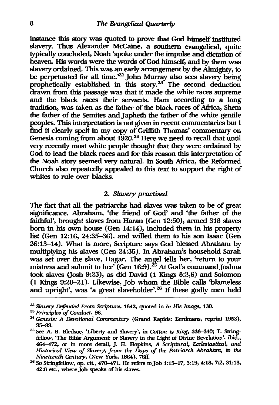instance this story was quoted to prove that God himself instituted slavery. Thus Alexander McCaine, a southern evangelical, quite typically concluded, Noah 'spoke under the impulse and dictation of heaven. His words were the words of God himself, and by them was slavery ordained. This was an early arrangement by the Almighty, to be perpetuated for all time.<sup>222</sup> John Murray also sees slavery being prophetically established in this story.<sup>23</sup> The second deduction drawn from this passage was that it made the white races supreme and the black races their servants. Ham according to a long tradition, was taken as the father of the black races of Afiica, Shem the father of the Semites and Japheth the father of the white gentile peoples. This interpretation is not given in recent commentaries but I find it clearly spelt in my copy of Griffith Thomas' commentary on Genesis coming from about  $1920.^{24}$  Here we need to recall that until very recently most white people thought that they were ordained by God to lead the black races and for this reason this interpretation of the Noah story seemed very natural. In South Afiica, the Reformed Church also repeatedly appealed to this text to support the right of whites to rule over blacks.

### *2. Slavery practised*

The fact that all the patriarchs had slaves was taken to be of great significance. Abraham, 'the friend of God' and 'the father of the faithful', brought slaves from Haran (Gen 12:50), armed 318 slaves born in his own house (Gen 14:14), included them in his property list (Gen 12:16, 24:35-36), and willed them to his son lsaac (Gen 26:13-14). What is more, Scripture says God blessed Abraham by multiplying his slaves (Gen 24:35). In Abraham's household Sarah was set over the slave, Hagar. The angel tells her, 'return to your mistress and submit to her' (Gen  $16:9$ ).<sup>25</sup> At God's command Joshua took slaves (Josh 9:23), as did David (1 Kings 8:2,6) and Solomon (1 Kings 9:20-21). Likewise, Job whom the Bible calls 'blameless and upright', was 'a great slaveholder'.26 If these godly men held

<sup>&</sup>lt;sup>22</sup> Slavery Defended From Scripture, 1842, quoted in *In His Image*, 130.

<sup>23</sup>*Principles* of *Conduct,* 96.

*<sup>24</sup> Genesis: A Devotional Commentary* (Grand Rapids: Eerdmans, reprint 1953), 95-99.

<sup>25</sup> See A. B. Bledsoe, 'Liberty and Slavery', in *Cotton is King,* 333-340; T. Stringfellow, 'The Bible Argument: or Slavery in the Light of Divine Revelation', ibid., 464-472, or in more detail, J. H. Hopkins, *A Scriptural, Ecclesiastical, and Historical Vrew* of *Slavery, from the Days* of *the Patriarch Abraham, to the Nineteenth Century,* (New York, 1864), 76ff.

<sup>26</sup> So Stringfellow, op. cit., 470-471. He refers tojob 1:15-17, 3:19, 4:18, 7:2, 31:13, 42:8 etc., where job speaks of his slaves.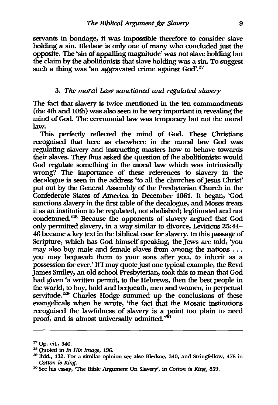servants in bondage, it was impossible therefore to consider slave holding a sin. Bledsoe is only one of many who concluded just the opposite. The 'sin of appalling magnitude' was not slave holding but the claim by the abolitionists that slave holding was a sin. To suggest such a thing was 'an aggravated crime against God'.<sup>27</sup>

#### *3. The moral* Law *sanctioned and regulated slavery*

The fact that slavery is twice mentioned in the ten commandments (the 4th and 10th) was also seen to be very important in revealing the mind of God. The ceremonial law was temporary but not the moral law.

This perfectly reflected the mind of God. These Christians recognised that here as elsewhere in the moral law God was regulating slavery and instructing masters how to behave towards their slaves. They thus asked the question of the abolitionists: would God regulate something in the moral law which was intrinsically wrong? The importance of these references to slavery in the decalogue is seen in the address 'to all the churches of Jesus Christ' put out by the General Assembly of the Presbyterian Church in the Confederate States of America in December 1861. It began, 'God sanctions slavery in the first table of the decalogue, and Moses treats it as an institution to be regulated, not abolished; legitimated and not condemned.<sup>28</sup> Because the opponents of slavery argued that God only permitted slavery, in a way similar to divorce, Leviticus 25:44-46 became a key text in the biblical case for slavery. In this passage of Scripture, which has God himself speaking, the Jews are told, 'you may also buy male and female slaves from among the nations ... you may bequeath them to your sons after you, to inherit as a possession for ever.' If I may quote just one typical example, the Revd James Smiley, an old school Presbyterian, took this to mean that God had given 'a written permit, to the Hebrews, then the best people in the world, to buy, hold and bequeath, men and women, in perpetual servitude.<sup>29</sup> Charles Hodge summed up the conclusions of these evangelicaIs when he wrote, 'the fact that the Mosaic institutions recognised the lawfulness of slavery is a point too plain to need proof, and is almost universally admitted.<sup>30</sup>

<sup>27</sup> Op. cit., 340.

<sup>&</sup>lt;sup>28</sup> Quoted in *In His Image*, 196.

<sup>29</sup> Ibid., 132. For a similar opinion see also Bledsoe, 340, and Stringfellow, 476 in Cotton is King.

<sup>30</sup> See his essay, 'The Bible Argument On Slavery', in *Cotton* is King, *859.*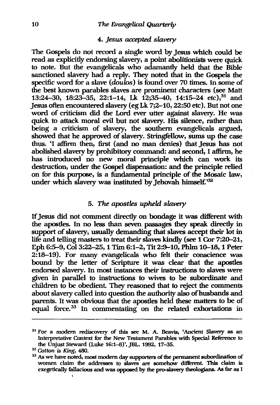#### 4. *Jesus* accepted *slavery*

The Gospels do not record a single word by Jesus which could be read as explicitly endorsing slavery, a point abolitionists were quick to note. But the evangelicals who adamantly held that the Bible sanctioned slavery had a reply. They noted that in the Gospels the specific word for a slave (doulos) is found over 70 times. In some of the best known parables slaves are prominent characters (see Matt 13:24-30, 18:23-35, 22:1-14, Lk 12:35-40, 14:15-24 etc),<sup>31</sup> and Jesus often encountered slavery (eg Lk 7;2-10, 22:50 etc). But not one word of criticism did the Lord ever utter against slavery. He was quick to attack moral evil but not slavery. His silence, rather than being a criticism of slavery, the southern evangelicals argued, showed that he approved of slavery. Stringfellow, sums up the case thus. 'I affinn then, first (and no man denies) that Jesus has not abolished slavery by prohibitory command: and second, I affinn, he has introduced no new moral principle which can work its destruction, under the Gospel dispensation: and the principle relied on for this purpose, is a fundamental principle of the Mosaic law, under which slavery was instituted by Jehovah himself.<sup>32</sup>

# *5. The apostles upheld slavery*

If Jesus did not comment directly on bondage it was different with the apostles. In no less than seven passages they speak directly in support of slavery, usually demanding that slaves accept their lot in life and telling masters to treat their slaves kindly (see 1 Cor 7:20–21, Eph 6:5-9, Col 3:22-25, 1 Tim 6:1-2, Tit 2:9-10, Phlm 10-18, 1 Peter 2:18-19). For many evangelicals who felt their conscience was bound by the letter of Scripture it was clear that the apostles endorsed slavery. In most instances their instructions to slaves were given in parallel to instructions to wives to be subordinate and children to be obedient. They reasoned that to reject the comments about slavery called into question the authority also of husbands and parents. It was obvious that the apostles held these matters to be of equal force.<sup>33</sup> In commentating on the related exhortations in

<sup>&</sup>lt;sup>31</sup> For a modern rediscovery of this see M. A. Beavis, 'Ancient Slavery as an Interpretative Context for the New Testament Parables with Special Reference to the Unjust Steward (Luke 16:1-8)', JBL, 1992, 17-35.

<sup>32</sup>*Cotton is King, 480.* 

<sup>&</sup>lt;sup>33</sup> As we have noted, most modern day supporters of the permanent subordination of women claim the addresses to slaves are somehow different. This claim is exegetically fallacious and was opposed by the pro-slavery theologians. As far as I ,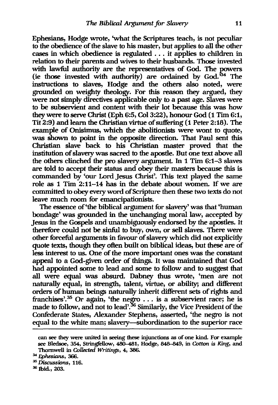Ephesians, Hodge wrote, 'what the Scriptures teach, is not peculiar to the obedience of the slave to his master, but applies to all the other cases in which obedience is regulated ... it applies to children in relation to their parents and wives to their husbands. Those invested with lawful authority are the representatives of God. The powers (ie those invested with authority) are ordained by God. $34$  The instructions to slaves, Hodge and the others also noted, were grounded on weighty theology. For this reason they argued, they were not simply directives applicable only to a past age. Slaves were to be subservient and content with their lot because this was how they were to serve Christ (Eph 6:5, Col 3:22), honour God (1 Tim 6:1, Tit 2:9) and learn the Christian virtue of suffering (1 Peter 2:18). The example of Onisimus, which the abolitionists were wont to quote, was shown to point in the opposite direction. That Paul sent this Christian slave back to his Christian master proved that the institution of slavery was sacred to the apostle. But one text above all the others clinched the pro slavery argument. In 1 Tim 6:1-3 slaves are told to accept their status and obey their masters because this is commanded by 'our Lord Jesus Christ'. This text played the same role as 1 Tim 2:11-14 has in the debate about women. If we are committed to obey every word of Scripture then these two texts do not leave much room for emancipationists.

The essence of 'the biblical argument for slavery' was that 'human bondage' was grounded in the unchanging moral law, accepted by Jesus in the Gospels and unambiguously endorsed by the apostles. It therefore could not be sinful to buy, own, or sell slaves. There were other forceful arguments in favour of slavery which did not explicitly quote texts, though they often built on biblical ideas, but these are of less interest to us. One of the more important ones was the constant appeal to a God-given order of things. It was maintained that God had appointed some to lead and some to follow and to suggest that all were equal was absurd. Dabney thus wrote, 'men are not naturally equal, in strength, talent, virtue, or ability; and different orders of human beings naturally inherit different sets of rights and franchises<sup>2,35</sup> Or again, 'the negro  $\dots$  is a subservient race; he is made to follow, and not to lead'.<sup>36</sup> Similarly, the Vice President of the Confederate States, Alexander Stephens, asserted, 'the negro is not equal to the white man; slavery--subordination to the superior race

can see they were united in seeing these injunctions as of one kind. For example see Bledsoe, 354, Stringfellow, 480-481, Hodge, 848--849, in *Cotton* is King, and Thornwell in *Collected Writings,* 4,386.

*<sup>34</sup> Ephesians, 366.* 

*<sup>35</sup>* Discussions, 116.

<sup>&</sup>lt;sup>36</sup> Ibid., 203.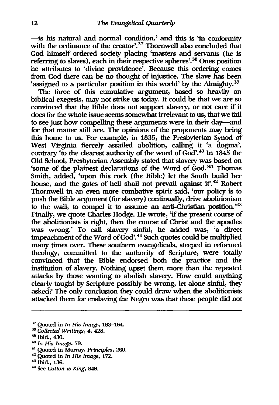- is his natural and normal condition,' and this is 'in conformity with the ordinance of the creator'.<sup>37</sup> Thornwell also concluded that God himself ordered society placing 'masters and servants (he is referring to slaves), each in their respective spheres'.<sup>36</sup> Ones position he attributes to 'divine providence'. Because this ordering comes from God there can be no thought of injustice. The slave has been 'assigned to a particular position in this world' by the Almighty.<sup>39</sup>

The force of this cumulative argument, based so heavily on biblical exegesis, may not strike us today. It could be that we are so convinced that the Bible does not support slavery, or not care if it does for the whole issue seems somewhat irrelevant to us, that we fail to see just how compelling these arguments were in their day-and for that matter still are. The opinions of the proponents may bring this home to us. For example, in 1835, the Presbyterian Synod of West Virginia fiercely assailed abolition, calling it 'a dogma', contrary 'to the clearest authority of the word of God'.<sup>40</sup> In 1845 the Old School, Presbyterian Assembly stated that slavery was based on 'some of the plainest declarations of the Word of God."1 Thomas Smith, added, 'upon this rock (the Bible) let the South build her house, and the gates of hell shall not prevail against it.<sup>42</sup> Robert Thornwell in an even more combative spirit said, 'our policy is to push the Bible argument (for slavery) continually, drive abolitionism to the wall, to compel it to assume an anti-Christian position. $43$ Finally, we quote Charles Hodge. He wrote, 'if the present course of the abolitionists is right, then the course of Christ and the apostles was wrong.' To call slavery sinful, he added was, 'a direct impeachment of the Word of God'.<sup>44</sup> Such quotes could be multiplied many times over. These southern evangelicals, steeped in reformed theology, committed to the authority of Scripture, were totally convinced that the Bible endorsed both the practice and the institution of slavery. Nothing upset them more than the repeated attacks by those wanting to abolish slavery. How could anything clearly taught by Scripture possibly be wrong, let alone sinful, they asked? The only conclusion they could draw when the abolitionists attacked them for enslaving the Negro was that these people did not

- 37 Quoted in *In His Image, 183-184.*
- *38 Collected Writings,* 4, 428.
- 39 Ibid., 430.
- <sup>40</sup>*In His Image, 79.*
- 41 Quoted in Murray, *Principles,* 260.
- <sup>42</sup>Quoted in *In His Image, 172.*
- 43 Ibid., 136.
- « See *Cotton is King, 849.*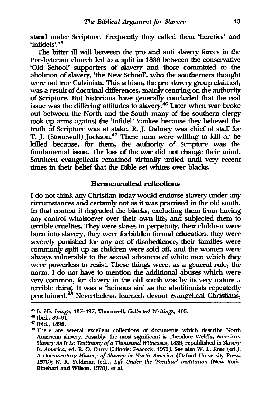stand under Scripture. Frequently they called them 'heretics' and  $'infidels$ . $45'$ 

The bitter ill will between the pro and anti slavery forces in the Presbyterian church led to a split in 1838 between the conservative 'Old School' supporters of slavery and those committed to the abolition of slavery, 'the New School', who the southerners thought were not true Calvinists. This schism, the pro slavery group claimed, was a result of doctrinal differences, mainly centring on the authority of Scripture. But historians have generally concluded that the real issue was the differing attitudes to slavery.<sup>46</sup> Later when war broke out between the North and the South many of the southern clergy took up arms against the 'infidel' Yankee because they believed the truth of Scripture was at stake. R. J. Dabney was chief of staff for T. J. (Stonewall) Jackson.<sup>47</sup> These men were willing to kill or be killed because, for them, the authority of Scripture was the fundamental issue. The loss of the war did not change their mind. Southern evangelicals remained virtually united until very recent times in their belief that the Bible set whites over blacks.

## **Hermeneutical reflections**

I do not think any Christian today would endorse slavery under any circumstances and certainly not as it was practised in the old south. In that context it degraded the blacks, excluding them from having any control whatsoever over their own life, and subjected them to terrible cruelties. They were slaves in perpetuity, their children were born into slavery, they were forbidden formal education, they were severely punished for any act of disobedience, their families were commonly split up as children were sold off, and the women were always vulnerable to the sexual advances of white men which they were powerless to resist. These things were, as a general rule, the norm. I do not have to mention the additional abuses which were very common, for slavery in the old south was by its very nature a terrible thing. It was a 'heinous sin' as the abolitionists repeatedly proclaimed.<sup>48</sup> Nevertheless, learned, devout evangelical Christians,

<sup>&</sup>lt;sup>45</sup> In His Image, 187-197; Thornwell, *Collected Writings*, 405.

 $46$  Ibid., 89-91

<sup>47</sup> Ibid., 189ft:

<sup>46</sup> There are several excellent collections of documents which describe North American slavery. Possibly, the most significant is Theodore Weld's, *American Slavery As It Is: Testimony of a Thousand Witnesses, 1839, republished in <i>Slavery In America,* ed. R. O. Curry (Illinois: Peacock, 1972). See also W. L. Rose (ed.), *A Documentary History of Slavery* in *North America* (Oxford University Press, 1976); N. R. Yeldman (ed.), *Life Under the 'Peculiar' Institution* (New York: Rinehart and Wilson, 1970), et al.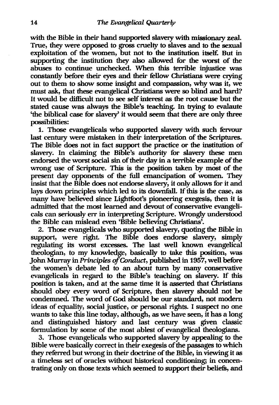with the Bible in their hand supported slavery with missionary zeal. True, they were opposed to gross cruelty to slaves and to the sexual exploitation of the women, but not to the institution itself. But in supporting the institution they also allowed for the worst of the abuses to continue unchecked. When this terrible injustice was constantly before their eyes and their fellow Christians were crying out to them to show some insight and compassion, why was it, we must ask, that these evangelical Christians were so blind and hard? It would be difficult not to see self interest as the root cause but the stated cause was always the Bible's teaching. In trying to evalaute 'the biblical case for slavery' it would seem that there are only three possibilities:

1. Those evangelicals who supported slavery with such fervour last century were mistaken in their interpretation of the Scriptures. The Bible does not in fact support the practice or the institution of slavery. In claiming the Bible's authority for slavery these men endorsed the worst social sin of their day in a terrible example of the wrong use of Scripture. This is the position taken by most of the present day opponents of the full emancipation of women. They insist that the Bible does not endorse slavery, it only allows for it and lays down principles which led to its downfall. If this is the case, as many have believed since Lightfoot's pioneering exegesis, then it is admitted that the most learned and devout of conservative evangelicals can seriously err in interpreting Scripture. Wrongly understood the Bible can mislead even 'Bible believing Christians'.

2. Those evangelicals who supported slavery, quoting the Bible in support, were right. The Bible does endorse slavery, simply regulating its worst excesses. The last well known evangelical theologian, to my knowledge, basically to take this position, was John Murray in *Principles of Conduct*, published in 1957, well before the women's debate led to an about turn by many conservative evangelicals in regard to the Bible's teaching on slavery. If this position is taken, and at the same time it is asserted that Christians should obey every word of Scripture, then slavery should not be condemned. The word of God should be our standard, not modern ideas of equality, social justice, or personal rights. I suspect no one wants to take this line today, although, as we have seen, it has a long and distinguished history and last century was given classic formulation by some of the most ablest of evangelical theologians.

3. Those evangelicals who supported slavery by appealing to the Bible were basically correct in their exegesis of the passages to which they referred but wrong in their doctrine of the Bible, in viewing it as a timeless set of oracles without historical conditioning; in concentrating only on those texts which seemed to support their beliefs, and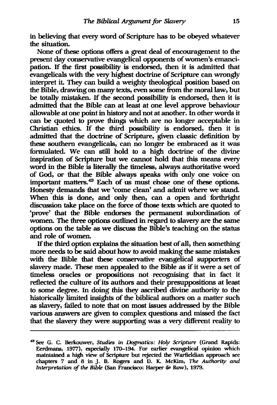in believing that every word of Scripture has to be obeyed whatever the situation.

None of these options offers a great deal of encouragement to the present day conservative evangelical opponents of women's emancipation. If the first possibility is endorsed, then it is admitted that evangelicals with the very highest doctrine of Scripture can wrongly interpret it. They can build a weighty theological position based on the Bible, drawing on many texts, even some from the moral law, but be totally mistaken. If the second possibility is endorsed, then it is admitted that the Bible can at least at one level approve behaviour allowable at one point in history and not at another. In other words it can be quoted to prove things which are no longer acceptable in Christian ethics. If the third possibility is endorsed, then it is admitted that the doctrine of Scripture, given classic definition by these southern evangelicals, can no longer be embraced as it was formulated. We can still hold to a high doctrine of the divine inspiration of Scripture but we cannot hold that this means every word in the Bible is literally the timeless, always authoritative word of God, or that the Bible always speaks with only one voice on important matters. 49 Each of us must chose one of these options. Honesty demands that we 'come clean' and admit where we stand. When this is done, and only then, can a open and forthright discussion take place on the force of those texts which are quoted to 'prove' that the Bible endorses the permanent subordination of women. The three options outlined in regard to slavery are the same options on the table as we discuss the Bible's teaching on the status and role of women.

If the third option explains the situation best of all, then something more needs to be said about how to avoid making the same mistakes with the Bible that these conservative evangelical supporters of slavery made. These men appealed to the Bible as if it were a set of timeless oracles or propositions not recognising that in fact it reflected the culture of its authors and their presuppositions at least to some degree. In doing this they ascribed divine authority to the historically limited insights of the biblical authors on a matter such as slavery, failed to note that on most issues addressed by the Bible various answers are given to complex questions and missed the fact that the slavery they were supporting was a very different reality to

<sup>49</sup> See G. c. Berkouwer, *Studies* in *Dogmatics: HOly Scripture* (Grand Rapids: Eerdmans, 1977), especially 170-194. For earlier evangelical opinion which maintained a high view of Scripture but rejected the Warfieldian approach see chapters 7 and 8 in J. B. Rogers and D. K. McKim, *The Authority and Interpretation of the Bible* (San Francisco: Harper & Row), 1979.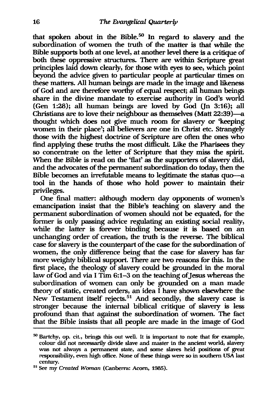that spoken about in the Bible.<sup>50</sup> In regard to slavery and the subordination of women the truth of the matter is that while the Bible supports both at one level, at another level there is a critique of both these oppressive structures. There are within Scripture great principles laid down dearly, for those with eyes to see, which point beyond the advice given to particular people at particular times on these matters. All human beings are made in the image and likeness of God and are therefore worthy of equal respect; all human beings share in the divine mandate to exercise authority in God's world (Gen  $1:28$ ); all human beings are loved by God (In  $3:16$ ); all Christians are to love their neighbour as themselves (Matt 22:39)-a thought which does not give much room for slavery or 'keeping women in their place'; all believers are one in Christ etc. Strangely those with the highest doctrine of Scripture are often the ones who find applying these truths the most difficult. Like the Pharisees they so concentrate on the letter of Scripture that they miss the spirit. When the Bible is read on the 'flat' as the supporters of slavery did, and the advocates of the permanent subordination do today, then the Bible becomes an irrefutable means to legitimate the status quo-a tool in the hands of those who hold power to maintain their privileges.

One final matter: although modern day opponents of women's emancipation insist that the Bible's teaching on slavery and the permanent subordination of women should not be equated, for the former is only passing advice regulating an existing social reality, while the latter is forever binding because it is based on an unchanging order of creation, the truth is the reverse. The biblical case for slavery is the counterpart of the case for the subordination of women, the only difference being that the case for slavery has far more weighty biblical support. There are two reasons for this. In the first place, the theology of slavery could be grounded in the moral law of God and via I  $\overline{T}$ im 6:1-3 on the teaching of Jesus whereas the subordination of women can only be grounded on a man made theory of static, created orders, an idea I have shown elsewhere the New Testament itself rejects.<sup>51</sup> And secondly, the slavery case is stronger because the internal biblical critique of slavery is less profound than that against the subordination of women. The fact that the Bible insists that all people are made in the image of God

<sup>&</sup>lt;sup>50</sup> Bartchy, op. cit., brings this out well. It is important to note that for example, colour did not necessarily divide slave and master in the ancient world, slavery was not always a pennanent state, and some slaves held positions of great responsibility, even high office. None of these things were so in southern USA last century.

<sup>51</sup> See my Created Woman (Canberra: Acorn, 1985).